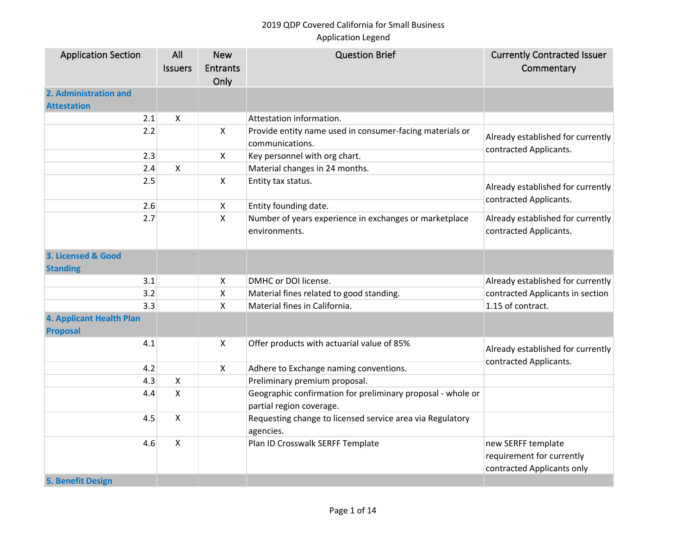| <b>Application Section</b>                  | All                       | <b>New</b>              | <b>Question Brief</b>                                                                   | <b>Currently Contracted Issuer</b>                                            |
|---------------------------------------------|---------------------------|-------------------------|-----------------------------------------------------------------------------------------|-------------------------------------------------------------------------------|
|                                             | <b>Issuers</b>            | <b>Entrants</b><br>Only |                                                                                         | Commentary                                                                    |
| 2. Administration and                       |                           |                         |                                                                                         |                                                                               |
| <b>Attestation</b>                          |                           |                         |                                                                                         |                                                                               |
| 2.1                                         | $\boldsymbol{\mathsf{X}}$ |                         | Attestation information.                                                                |                                                                               |
| 2.2                                         |                           | X                       | Provide entity name used in consumer-facing materials or<br>communications.             | Already established for currently<br>contracted Applicants.                   |
| 2.3                                         |                           | X                       | Key personnel with org chart.                                                           |                                                                               |
| 2.4                                         | $\boldsymbol{\mathsf{X}}$ |                         | Material changes in 24 months.                                                          |                                                                               |
| 2.5                                         |                           | $\mathsf{X}$            | Entity tax status.                                                                      | Already established for currently<br>contracted Applicants.                   |
| 2.6                                         |                           | X                       | Entity founding date.                                                                   |                                                                               |
| 2.7                                         |                           | X                       | Number of years experience in exchanges or marketplace<br>environments.                 | Already established for currently<br>contracted Applicants.                   |
| 3. Licensed & Good<br><b>Standing</b>       |                           |                         |                                                                                         |                                                                               |
| 3.1                                         |                           | X                       | DMHC or DOI license.                                                                    | Already established for currently                                             |
| 3.2                                         |                           | Χ                       | Material fines related to good standing.                                                | contracted Applicants in section                                              |
| 3.3                                         |                           | Χ                       | Material fines in California.                                                           | 1.15 of contract.                                                             |
| 4. Applicant Health Plan<br><b>Proposal</b> |                           |                         |                                                                                         |                                                                               |
| 4.1                                         |                           | X                       | Offer products with actuarial value of 85%                                              | Already established for currently<br>contracted Applicants.                   |
| 4.2                                         |                           | X                       | Adhere to Exchange naming conventions.                                                  |                                                                               |
| 4.3                                         | $\pmb{\times}$            |                         | Preliminary premium proposal.                                                           |                                                                               |
| 4.4                                         | $\mathsf{X}$              |                         | Geographic confirmation for preliminary proposal - whole or<br>partial region coverage. |                                                                               |
| 4.5                                         | $\boldsymbol{\mathsf{X}}$ |                         | Requesting change to licensed service area via Regulatory<br>agencies.                  |                                                                               |
| 4.6                                         | X                         |                         | Plan ID Crosswalk SERFF Template                                                        | new SERFF template<br>requirement for currently<br>contracted Applicants only |
| <b>5. Benefit Design</b>                    |                           |                         |                                                                                         |                                                                               |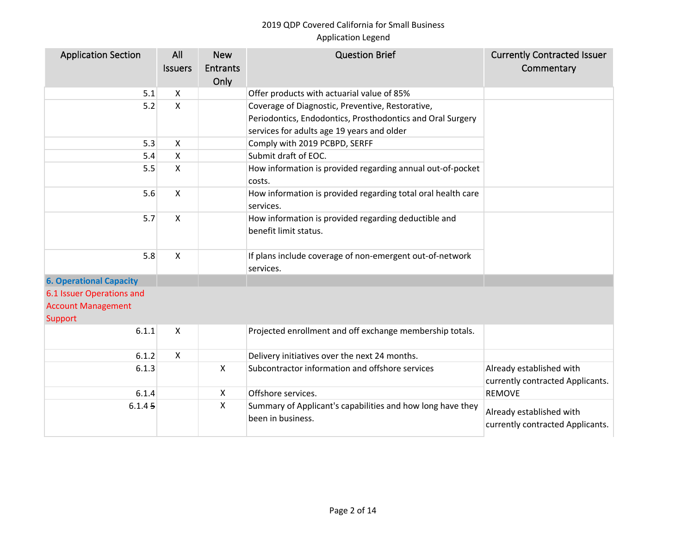| <b>Application Section</b>     | All            | <b>New</b>                | <b>Question Brief</b>                                                           | <b>Currently Contracted Issuer</b>                           |
|--------------------------------|----------------|---------------------------|---------------------------------------------------------------------------------|--------------------------------------------------------------|
|                                | <b>Issuers</b> | <b>Entrants</b>           |                                                                                 | Commentary                                                   |
|                                |                | Only                      |                                                                                 |                                                              |
| 5.1                            | X              |                           | Offer products with actuarial value of 85%                                      |                                                              |
| 5.2                            | X              |                           | Coverage of Diagnostic, Preventive, Restorative,                                |                                                              |
|                                |                |                           | Periodontics, Endodontics, Prosthodontics and Oral Surgery                      |                                                              |
|                                |                |                           | services for adults age 19 years and older                                      |                                                              |
| 5.3                            | X              |                           | Comply with 2019 PCBPD, SERFF                                                   |                                                              |
| 5.4                            | X              |                           | Submit draft of EOC.                                                            |                                                              |
| 5.5                            | X              |                           | How information is provided regarding annual out-of-pocket<br>costs.            |                                                              |
| 5.6                            | X              |                           | How information is provided regarding total oral health care<br>services.       |                                                              |
| 5.7                            | X              |                           | How information is provided regarding deductible and<br>benefit limit status.   |                                                              |
| 5.8                            | X              |                           | If plans include coverage of non-emergent out-of-network<br>services.           |                                                              |
| <b>6. Operational Capacity</b> |                |                           |                                                                                 |                                                              |
| 6.1 Issuer Operations and      |                |                           |                                                                                 |                                                              |
| <b>Account Management</b>      |                |                           |                                                                                 |                                                              |
| Support                        |                |                           |                                                                                 |                                                              |
| 6.1.1                          | X              |                           | Projected enrollment and off exchange membership totals.                        |                                                              |
| 6.1.2                          | X              |                           | Delivery initiatives over the next 24 months.                                   |                                                              |
| 6.1.3                          |                | $\boldsymbol{\mathsf{X}}$ | Subcontractor information and offshore services                                 | Already established with<br>currently contracted Applicants. |
| 6.1.4                          |                | $\boldsymbol{\mathsf{X}}$ | Offshore services.                                                              | <b>REMOVE</b>                                                |
| 6.1.45                         |                | X                         | Summary of Applicant's capabilities and how long have they<br>been in business. | Already established with<br>currently contracted Applicants. |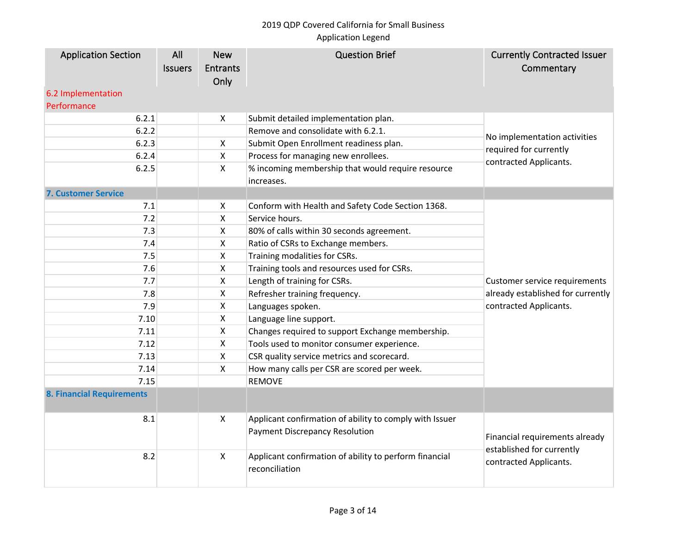| <b>Application Section</b><br>6.2 Implementation | All<br><b>Issuers</b> | <b>New</b><br><b>Entrants</b><br>Only | <b>Question Brief</b>                                                                            | <b>Currently Contracted Issuer</b><br>Commentary    |
|--------------------------------------------------|-----------------------|---------------------------------------|--------------------------------------------------------------------------------------------------|-----------------------------------------------------|
| Performance                                      |                       |                                       |                                                                                                  |                                                     |
| 6.2.1                                            |                       | X                                     | Submit detailed implementation plan.                                                             |                                                     |
| 6.2.2                                            |                       |                                       | Remove and consolidate with 6.2.1.                                                               | No implementation activities                        |
| 6.2.3                                            |                       | X                                     | Submit Open Enrollment readiness plan.                                                           | required for currently                              |
| 6.2.4                                            |                       | $\mathsf{X}$                          | Process for managing new enrollees.                                                              | contracted Applicants.                              |
| 6.2.5                                            |                       | $\mathsf{X}$                          | % incoming membership that would require resource<br>increases.                                  |                                                     |
| <b>7. Customer Service</b>                       |                       |                                       |                                                                                                  |                                                     |
| 7.1                                              |                       | $\boldsymbol{\mathsf{X}}$             | Conform with Health and Safety Code Section 1368.                                                |                                                     |
| 7.2                                              |                       | X                                     | Service hours.                                                                                   |                                                     |
| 7.3                                              |                       | X                                     | 80% of calls within 30 seconds agreement.                                                        |                                                     |
| 7.4                                              |                       | X                                     | Ratio of CSRs to Exchange members.                                                               |                                                     |
| 7.5                                              |                       | X                                     | Training modalities for CSRs.                                                                    |                                                     |
| 7.6                                              |                       | $\pmb{\mathsf{X}}$                    | Training tools and resources used for CSRs.                                                      |                                                     |
| 7.7                                              |                       | $\boldsymbol{\mathsf{X}}$             | Length of training for CSRs.                                                                     | Customer service requirements                       |
| 7.8                                              |                       | $\boldsymbol{\mathsf{X}}$             | Refresher training frequency.                                                                    | already established for currently                   |
| 7.9                                              |                       | $\boldsymbol{\mathsf{X}}$             | Languages spoken.                                                                                | contracted Applicants.                              |
| 7.10                                             |                       | $\boldsymbol{\mathsf{X}}$             | Language line support.                                                                           |                                                     |
| 7.11                                             |                       | X                                     | Changes required to support Exchange membership.                                                 |                                                     |
| 7.12                                             |                       | $\mathsf{X}$                          | Tools used to monitor consumer experience.                                                       |                                                     |
| 7.13                                             |                       | $\pmb{\mathsf{X}}$                    | CSR quality service metrics and scorecard.                                                       |                                                     |
| 7.14                                             |                       | X                                     | How many calls per CSR are scored per week.                                                      |                                                     |
| 7.15                                             |                       |                                       | <b>REMOVE</b>                                                                                    |                                                     |
| <b>8. Financial Requirements</b>                 |                       |                                       |                                                                                                  |                                                     |
| 8.1                                              |                       | X                                     | Applicant confirmation of ability to comply with Issuer<br><b>Payment Discrepancy Resolution</b> | Financial requirements already                      |
| 8.2                                              |                       | $\boldsymbol{\mathsf{X}}$             | Applicant confirmation of ability to perform financial<br>reconciliation                         | established for currently<br>contracted Applicants. |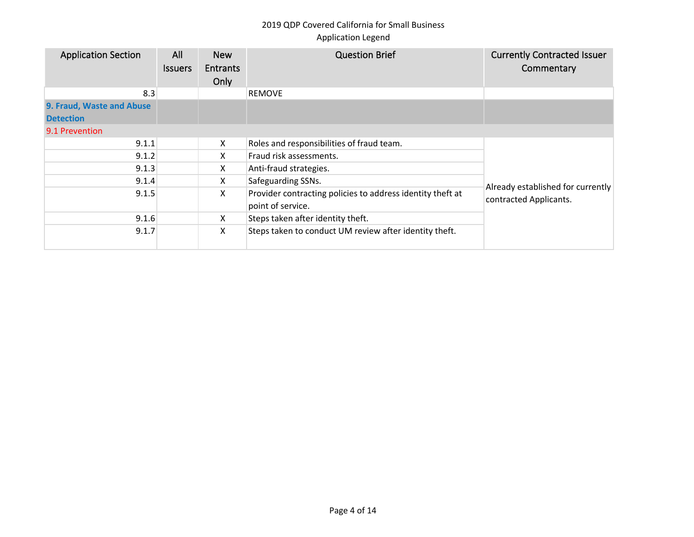| <b>Application Section</b> | All<br><b>Issuers</b> | <b>New</b><br><b>Entrants</b><br>Only | <b>Question Brief</b>                                                           | <b>Currently Contracted Issuer</b><br>Commentary |
|----------------------------|-----------------------|---------------------------------------|---------------------------------------------------------------------------------|--------------------------------------------------|
| 8.3                        |                       |                                       | <b>REMOVE</b>                                                                   |                                                  |
| 9. Fraud, Waste and Abuse  |                       |                                       |                                                                                 |                                                  |
| <b>Detection</b>           |                       |                                       |                                                                                 |                                                  |
| 9.1 Prevention             |                       |                                       |                                                                                 |                                                  |
| 9.1.1                      |                       | X                                     | Roles and responsibilities of fraud team.                                       |                                                  |
| 9.1.2                      |                       | X                                     | Fraud risk assessments.                                                         |                                                  |
| 9.1.3                      |                       | x                                     | Anti-fraud strategies.                                                          |                                                  |
| 9.1.4                      |                       | X                                     | Safeguarding SSNs.                                                              | Already established for currently                |
| 9.1.5                      |                       | X                                     | Provider contracting policies to address identity theft at<br>point of service. | contracted Applicants.                           |
| 9.1.6                      |                       | X                                     | Steps taken after identity theft.                                               |                                                  |
| 9.1.7                      |                       | X                                     | Steps taken to conduct UM review after identity theft.                          |                                                  |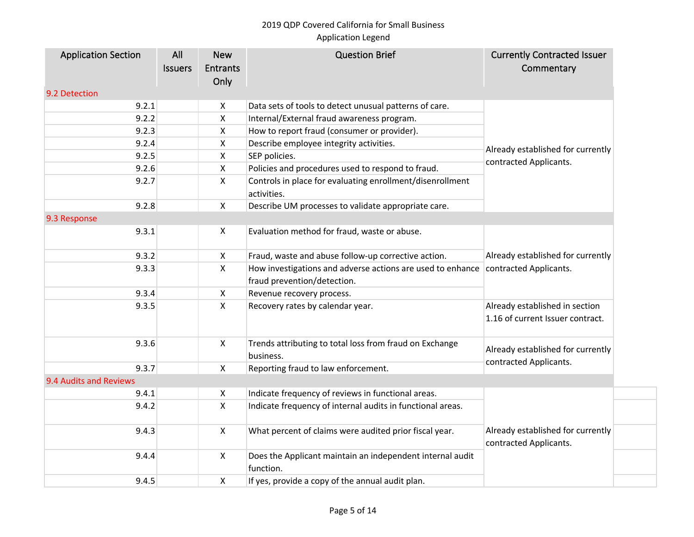# 2019 QDP Covered California for Small Business

# Application Legend

| <b>Application Section</b> | All            | <b>New</b>              | <b>Question Brief</b>                                                    | <b>Currently Contracted Issuer</b>                                 |
|----------------------------|----------------|-------------------------|--------------------------------------------------------------------------|--------------------------------------------------------------------|
|                            | <b>Issuers</b> | <b>Entrants</b><br>Only |                                                                          | Commentary                                                         |
| 9.2 Detection              |                |                         |                                                                          |                                                                    |
| 9.2.1                      |                | X                       | Data sets of tools to detect unusual patterns of care.                   |                                                                    |
| 9.2.2                      |                | X                       | Internal/External fraud awareness program.                               |                                                                    |
| 9.2.3                      |                | X                       | How to report fraud (consumer or provider).                              |                                                                    |
| 9.2.4                      |                | X                       | Describe employee integrity activities.                                  | Already established for currently                                  |
| 9.2.5                      |                | X                       | SEP policies.                                                            | contracted Applicants.                                             |
| 9.2.6                      |                | X                       | Policies and procedures used to respond to fraud.                        |                                                                    |
| 9.2.7                      |                | X                       | Controls in place for evaluating enrollment/disenrollment<br>activities. |                                                                    |
| 9.2.8                      |                | X                       | Describe UM processes to validate appropriate care.                      |                                                                    |
| 9.3 Response               |                |                         |                                                                          |                                                                    |
| 9.3.1                      |                | X                       | Evaluation method for fraud, waste or abuse.                             |                                                                    |
| 9.3.2                      |                | X                       | Fraud, waste and abuse follow-up corrective action.                      | Already established for currently<br>contracted Applicants.        |
| 9.3.3                      |                | X                       | How investigations and adverse actions are used to enhance               |                                                                    |
|                            |                |                         | fraud prevention/detection.                                              |                                                                    |
| 9.3.4                      |                | X                       | Revenue recovery process.                                                |                                                                    |
| 9.3.5                      |                | X                       | Recovery rates by calendar year.                                         | Already established in section<br>1.16 of current Issuer contract. |
| 9.3.6                      |                | $\mathsf{X}$            | Trends attributing to total loss from fraud on Exchange<br>business.     | Already established for currently                                  |
| 9.3.7                      |                | X                       | Reporting fraud to law enforcement.                                      | contracted Applicants.                                             |
| 9.4 Audits and Reviews     |                |                         |                                                                          |                                                                    |
| 9.4.1                      |                | X                       | Indicate frequency of reviews in functional areas.                       |                                                                    |
| 9.4.2                      |                | X                       | Indicate frequency of internal audits in functional areas.               |                                                                    |
| 9.4.3                      |                | $\mathsf{X}$            | What percent of claims were audited prior fiscal year.                   | Already established for currently<br>contracted Applicants.        |
| 9.4.4                      |                | X                       | Does the Applicant maintain an independent internal audit<br>function.   |                                                                    |
| 9.4.5                      |                | X                       | If yes, provide a copy of the annual audit plan.                         |                                                                    |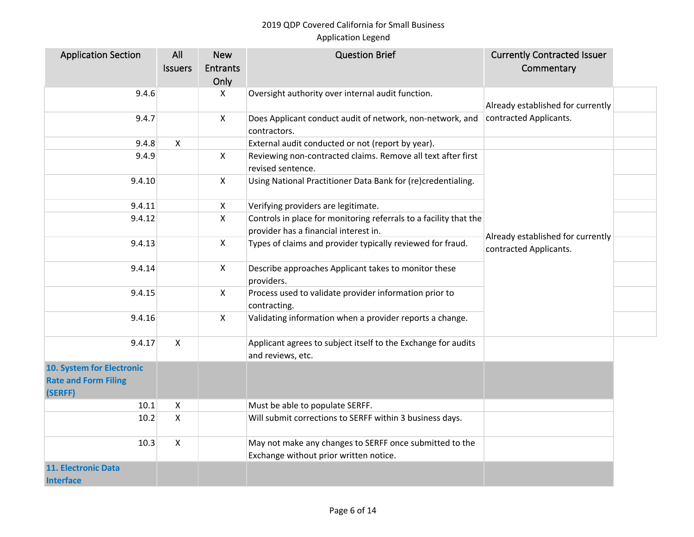| <b>Application Section</b>  | All            | <b>New</b>      | <b>Question Brief</b>                                             | <b>Currently Contracted Issuer</b> |  |
|-----------------------------|----------------|-----------------|-------------------------------------------------------------------|------------------------------------|--|
|                             | <b>Issuers</b> | <b>Entrants</b> |                                                                   | Commentary                         |  |
|                             |                | Only            |                                                                   |                                    |  |
| 9.4.6                       |                | X               | Oversight authority over internal audit function.                 |                                    |  |
|                             |                |                 |                                                                   | Already established for currently  |  |
| 9.4.7                       |                | $\mathsf{X}$    | Does Applicant conduct audit of network, non-network, and         | contracted Applicants.             |  |
|                             |                |                 | contractors.                                                      |                                    |  |
| 9.4.8                       | X              |                 | External audit conducted or not (report by year).                 |                                    |  |
| 9.4.9                       |                | $\mathsf{X}$    | Reviewing non-contracted claims. Remove all text after first      |                                    |  |
|                             |                |                 | revised sentence.                                                 |                                    |  |
| 9.4.10                      |                | $\mathsf{X}$    | Using National Practitioner Data Bank for (re)credentialing.      |                                    |  |
|                             |                |                 |                                                                   |                                    |  |
| 9.4.11                      |                | X               | Verifying providers are legitimate.                               |                                    |  |
| 9.4.12                      |                | X               | Controls in place for monitoring referrals to a facility that the |                                    |  |
|                             |                |                 | provider has a financial interest in.                             |                                    |  |
| 9.4.13                      |                | X               | Types of claims and provider typically reviewed for fraud.        | Already established for currently  |  |
|                             |                |                 |                                                                   | contracted Applicants.             |  |
| 9.4.14                      |                | $\mathsf{X}$    | Describe approaches Applicant takes to monitor these              |                                    |  |
|                             |                |                 | providers.                                                        |                                    |  |
| 9.4.15                      |                | X               | Process used to validate provider information prior to            |                                    |  |
|                             |                |                 | contracting.                                                      |                                    |  |
| 9.4.16                      |                | X               | Validating information when a provider reports a change.          |                                    |  |
|                             |                |                 |                                                                   |                                    |  |
| 9.4.17                      | $\mathsf{X}$   |                 | Applicant agrees to subject itself to the Exchange for audits     |                                    |  |
|                             |                |                 | and reviews, etc.                                                 |                                    |  |
| 10. System for Electronic   |                |                 |                                                                   |                                    |  |
| <b>Rate and Form Filing</b> |                |                 |                                                                   |                                    |  |
| (SERFF)                     |                |                 |                                                                   |                                    |  |
| 10.1                        | $\mathsf{X}$   |                 | Must be able to populate SERFF.                                   |                                    |  |
| 10.2                        | $\mathsf{X}$   |                 | Will submit corrections to SERFF within 3 business days.          |                                    |  |
|                             |                |                 |                                                                   |                                    |  |
| 10.3                        | $\mathsf{X}$   |                 | May not make any changes to SERFF once submitted to the           |                                    |  |
|                             |                |                 | Exchange without prior written notice.                            |                                    |  |
| <b>11. Electronic Data</b>  |                |                 |                                                                   |                                    |  |
| <b>Interface</b>            |                |                 |                                                                   |                                    |  |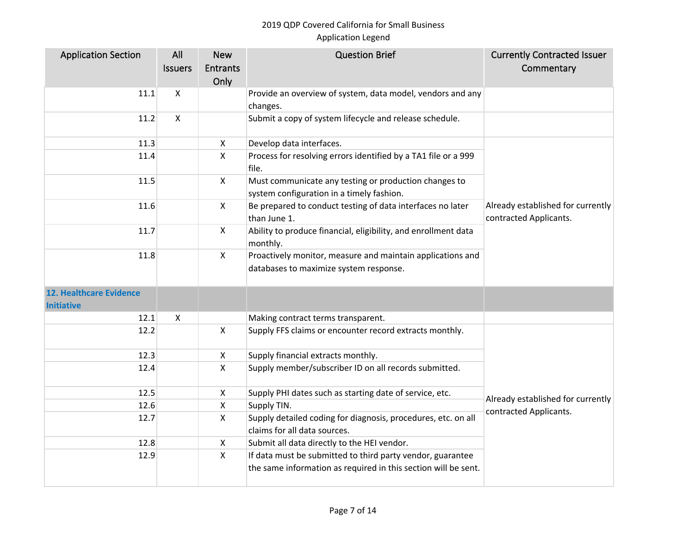| <b>Application Section</b>                          | All                | <b>New</b>      | <b>Question Brief</b>                                                                                | <b>Currently Contracted Issuer</b>                          |
|-----------------------------------------------------|--------------------|-----------------|------------------------------------------------------------------------------------------------------|-------------------------------------------------------------|
|                                                     | <b>Issuers</b>     | <b>Entrants</b> |                                                                                                      | Commentary                                                  |
|                                                     |                    | Only            |                                                                                                      |                                                             |
| 11.1                                                | $\pmb{\mathsf{X}}$ |                 | Provide an overview of system, data model, vendors and any                                           |                                                             |
|                                                     |                    |                 | changes.                                                                                             |                                                             |
| 11.2                                                | $\pmb{\times}$     |                 | Submit a copy of system lifecycle and release schedule.                                              |                                                             |
| 11.3                                                |                    | $\mathsf{X}$    | Develop data interfaces.                                                                             |                                                             |
| 11.4                                                |                    | $\mathsf{X}$    | Process for resolving errors identified by a TA1 file or a 999<br>file.                              |                                                             |
| 11.5                                                |                    | $\mathsf{X}$    | Must communicate any testing or production changes to<br>system configuration in a timely fashion.   |                                                             |
| 11.6                                                |                    | $\mathsf{X}$    | Be prepared to conduct testing of data interfaces no later<br>than June 1.                           | Already established for currently<br>contracted Applicants. |
| 11.7                                                |                    | $\mathsf{X}$    | Ability to produce financial, eligibility, and enrollment data<br>monthly.                           |                                                             |
| 11.8                                                |                    | $\mathsf{X}$    | Proactively monitor, measure and maintain applications and<br>databases to maximize system response. |                                                             |
| <b>12. Healthcare Evidence</b><br><b>Initiative</b> |                    |                 |                                                                                                      |                                                             |
| 12.1                                                | X                  |                 | Making contract terms transparent.                                                                   |                                                             |
| 12.2                                                |                    | $\mathsf{X}$    | Supply FFS claims or encounter record extracts monthly.                                              |                                                             |
| 12.3                                                |                    | X               | Supply financial extracts monthly.                                                                   |                                                             |
| 12.4                                                |                    | $\mathsf{X}$    | Supply member/subscriber ID on all records submitted.                                                |                                                             |
| 12.5                                                |                    | X               | Supply PHI dates such as starting date of service, etc.                                              | Already established for currently                           |
| 12.6                                                |                    | $\mathsf{X}$    | Supply TIN.                                                                                          | contracted Applicants.                                      |
| 12.7                                                |                    | $\mathsf{X}$    | Supply detailed coding for diagnosis, procedures, etc. on all<br>claims for all data sources.        |                                                             |
| 12.8                                                |                    | X               | Submit all data directly to the HEI vendor.                                                          |                                                             |
| 12.9                                                |                    | $\mathsf{X}$    | If data must be submitted to third party vendor, guarantee                                           |                                                             |
|                                                     |                    |                 | the same information as required in this section will be sent.                                       |                                                             |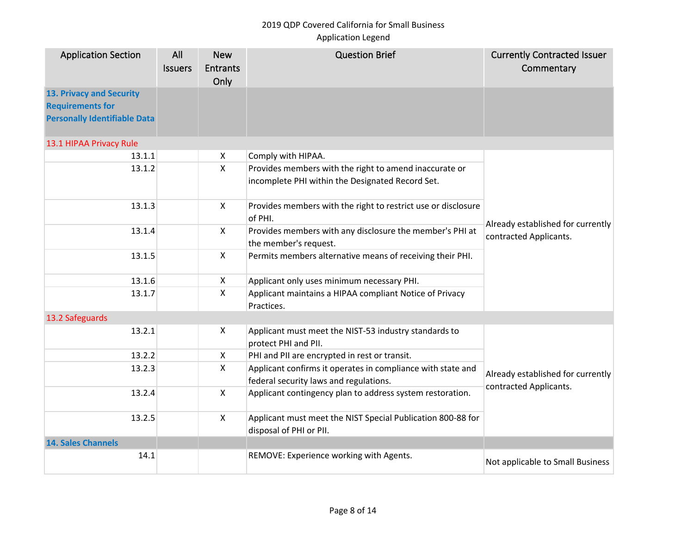# 2019 QDP Covered California for Small Business

# Application Legend

| <b>Application Section</b>                                                                        | All<br><b>Issuers</b> | <b>New</b><br><b>Entrants</b><br>Only | <b>Question Brief</b>                                                                                 | <b>Currently Contracted Issuer</b><br>Commentary            |
|---------------------------------------------------------------------------------------------------|-----------------------|---------------------------------------|-------------------------------------------------------------------------------------------------------|-------------------------------------------------------------|
| <b>13. Privacy and Security</b><br><b>Requirements for</b><br><b>Personally Identifiable Data</b> |                       |                                       |                                                                                                       |                                                             |
| 13.1 HIPAA Privacy Rule                                                                           |                       |                                       |                                                                                                       |                                                             |
| 13.1.1                                                                                            |                       | X                                     | Comply with HIPAA.                                                                                    |                                                             |
| 13.1.2                                                                                            |                       | $\mathsf{x}$                          | Provides members with the right to amend inaccurate or                                                |                                                             |
|                                                                                                   |                       |                                       | incomplete PHI within the Designated Record Set.                                                      |                                                             |
| 13.1.3                                                                                            |                       | X                                     | Provides members with the right to restrict use or disclosure<br>of PHI.                              |                                                             |
| 13.1.4                                                                                            |                       | $\pmb{\times}$                        | Provides members with any disclosure the member's PHI at<br>the member's request.                     | Already established for currently<br>contracted Applicants. |
| 13.1.5                                                                                            |                       | $\mathsf{X}$                          | Permits members alternative means of receiving their PHI.                                             |                                                             |
| 13.1.6                                                                                            |                       | X                                     | Applicant only uses minimum necessary PHI.                                                            |                                                             |
| 13.1.7                                                                                            |                       | $\mathsf{x}$                          | Applicant maintains a HIPAA compliant Notice of Privacy<br>Practices.                                 |                                                             |
| 13.2 Safeguards                                                                                   |                       |                                       |                                                                                                       |                                                             |
| 13.2.1                                                                                            |                       | X                                     | Applicant must meet the NIST-53 industry standards to<br>protect PHI and PII.                         |                                                             |
| 13.2.2                                                                                            |                       | X                                     | PHI and PII are encrypted in rest or transit.                                                         |                                                             |
| 13.2.3                                                                                            |                       | X                                     | Applicant confirms it operates in compliance with state and<br>federal security laws and regulations. | Already established for currently<br>contracted Applicants. |
| 13.2.4                                                                                            |                       | $\mathsf{x}$                          | Applicant contingency plan to address system restoration.                                             |                                                             |
| 13.2.5                                                                                            |                       | $\pmb{\times}$                        | Applicant must meet the NIST Special Publication 800-88 for<br>disposal of PHI or PII.                |                                                             |
| <b>14. Sales Channels</b>                                                                         |                       |                                       |                                                                                                       |                                                             |
| 14.1                                                                                              |                       |                                       | REMOVE: Experience working with Agents.                                                               | Not applicable to Small Business                            |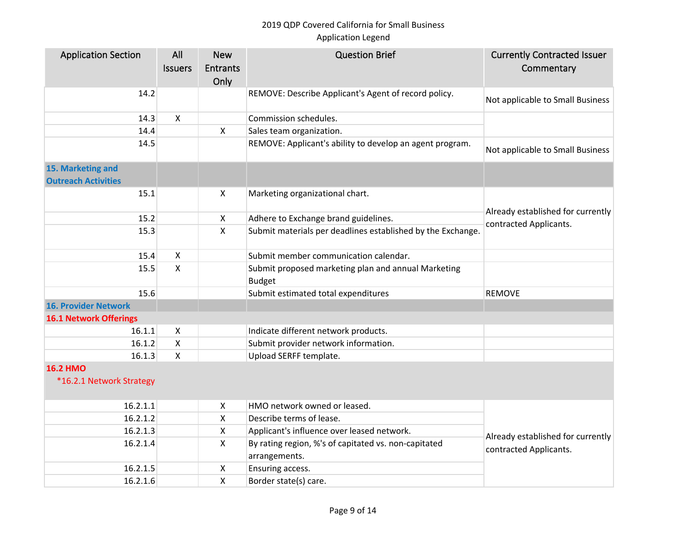| <b>Application Section</b>                  | All            | <b>New</b>                | <b>Question Brief</b>                                                 | <b>Currently Contracted Issuer</b> |
|---------------------------------------------|----------------|---------------------------|-----------------------------------------------------------------------|------------------------------------|
|                                             | <b>Issuers</b> | <b>Entrants</b>           |                                                                       | Commentary                         |
|                                             |                | Only                      |                                                                       |                                    |
| 14.2                                        |                |                           | REMOVE: Describe Applicant's Agent of record policy.                  | Not applicable to Small Business   |
| 14.3                                        | X              |                           | Commission schedules.                                                 |                                    |
| 14.4                                        |                | $\pmb{\times}$            | Sales team organization.                                              |                                    |
| 14.5                                        |                |                           | REMOVE: Applicant's ability to develop an agent program.              | Not applicable to Small Business   |
| 15. Marketing and                           |                |                           |                                                                       |                                    |
| <b>Outreach Activities</b>                  |                |                           |                                                                       |                                    |
| 15.1                                        |                | $\boldsymbol{\mathsf{X}}$ | Marketing organizational chart.                                       |                                    |
|                                             |                |                           |                                                                       | Already established for currently  |
| 15.2                                        |                | $\pmb{\times}$            | Adhere to Exchange brand guidelines.                                  | contracted Applicants.             |
| 15.3                                        |                | $\mathsf{x}$              | Submit materials per deadlines established by the Exchange.           |                                    |
| 15.4                                        | X              |                           | Submit member communication calendar.                                 |                                    |
| 15.5                                        | X.             |                           | Submit proposed marketing plan and annual Marketing                   |                                    |
|                                             |                |                           | <b>Budget</b>                                                         |                                    |
| 15.6                                        |                |                           | Submit estimated total expenditures                                   | <b>REMOVE</b>                      |
| <b>16. Provider Network</b>                 |                |                           |                                                                       |                                    |
| <b>16.1 Network Offerings</b>               |                |                           |                                                                       |                                    |
| 16.1.1                                      | X              |                           | Indicate different network products.                                  |                                    |
| 16.1.2                                      | X              |                           | Submit provider network information.                                  |                                    |
| 16.1.3                                      | $\mathsf{X}$   |                           | Upload SERFF template.                                                |                                    |
| <b>16.2 HMO</b><br>*16.2.1 Network Strategy |                |                           |                                                                       |                                    |
|                                             |                |                           |                                                                       |                                    |
| 16.2.1.1                                    |                | $\boldsymbol{\mathsf{X}}$ | HMO network owned or leased.                                          |                                    |
| 16.2.1.2                                    |                | X                         | Describe terms of lease.                                              |                                    |
| 16.2.1.3                                    |                | $\boldsymbol{\mathsf{X}}$ | Applicant's influence over leased network.                            | Already established for currently  |
| 16.2.1.4                                    |                | X                         | By rating region, %'s of capitated vs. non-capitated<br>arrangements. | contracted Applicants.             |
| 16.2.1.5                                    |                | $\boldsymbol{\mathsf{X}}$ | Ensuring access.                                                      |                                    |
| 16.2.1.6                                    |                | $\pmb{\mathsf{X}}$        | Border state(s) care.                                                 |                                    |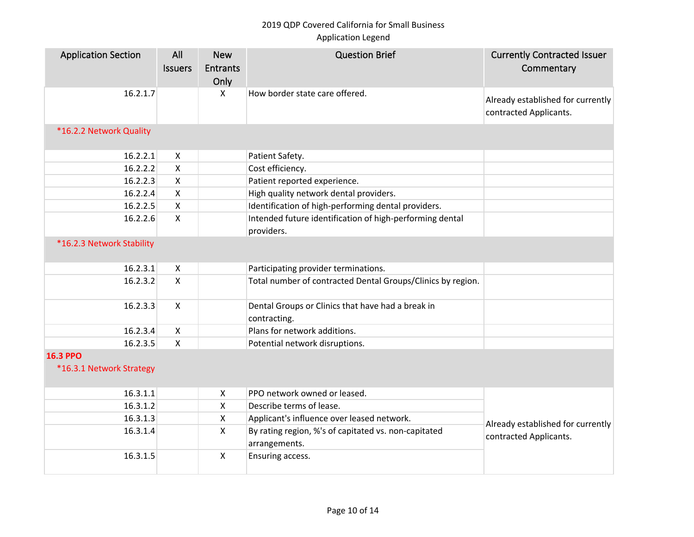| <b>Application Section</b>                  | All<br><b>Issuers</b>     | <b>New</b><br><b>Entrants</b><br>Only | <b>Question Brief</b>                                                  | <b>Currently Contracted Issuer</b><br>Commentary            |
|---------------------------------------------|---------------------------|---------------------------------------|------------------------------------------------------------------------|-------------------------------------------------------------|
| 16.2.1.7                                    |                           | $\boldsymbol{\mathsf{X}}$             | How border state care offered.                                         | Already established for currently<br>contracted Applicants. |
| *16.2.2 Network Quality                     |                           |                                       |                                                                        |                                                             |
| 16.2.2.1                                    | $\mathsf{X}$              |                                       | Patient Safety.                                                        |                                                             |
| 16.2.2.2                                    | $\pmb{\times}$            |                                       | Cost efficiency.                                                       |                                                             |
| 16.2.2.3                                    | X                         |                                       | Patient reported experience.                                           |                                                             |
| 16.2.2.4                                    | X                         |                                       | High quality network dental providers.                                 |                                                             |
| 16.2.2.5                                    | $\pmb{\times}$            |                                       | Identification of high-performing dental providers.                    |                                                             |
| 16.2.2.6                                    | $\mathsf{X}$              |                                       | Intended future identification of high-performing dental<br>providers. |                                                             |
| *16.2.3 Network Stability                   |                           |                                       |                                                                        |                                                             |
| 16.2.3.1                                    | $\mathsf{X}$              |                                       | Participating provider terminations.                                   |                                                             |
| 16.2.3.2                                    | $\mathsf{x}$              |                                       | Total number of contracted Dental Groups/Clinics by region.            |                                                             |
| 16.2.3.3                                    | X                         |                                       | Dental Groups or Clinics that have had a break in<br>contracting.      |                                                             |
| 16.2.3.4                                    | $\mathsf{X}$              |                                       | Plans for network additions.                                           |                                                             |
| 16.2.3.5                                    | $\boldsymbol{\mathsf{X}}$ |                                       | Potential network disruptions.                                         |                                                             |
| <b>16.3 PPO</b><br>*16.3.1 Network Strategy |                           |                                       |                                                                        |                                                             |
| 16.3.1.1                                    |                           | $\boldsymbol{\mathsf{X}}$             | PPO network owned or leased.                                           |                                                             |
| 16.3.1.2                                    |                           | $\boldsymbol{\mathsf{X}}$             | Describe terms of lease.                                               |                                                             |
| 16.3.1.3                                    |                           | $\boldsymbol{\mathsf{X}}$             | Applicant's influence over leased network.                             | Already established for currently                           |
| 16.3.1.4                                    |                           | $\boldsymbol{\mathsf{X}}$             | By rating region, %'s of capitated vs. non-capitated<br>arrangements.  | contracted Applicants.                                      |
| 16.3.1.5                                    |                           | $\boldsymbol{\mathsf{X}}$             | Ensuring access.                                                       |                                                             |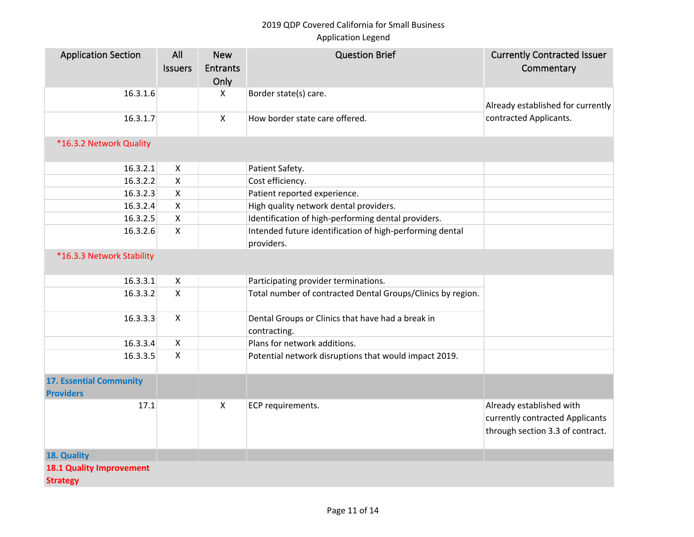| <b>Application Section</b>                         | All                | <b>New</b>      | <b>Question Brief</b>                                                  | <b>Currently Contracted Issuer</b>                                                              |
|----------------------------------------------------|--------------------|-----------------|------------------------------------------------------------------------|-------------------------------------------------------------------------------------------------|
|                                                    | <b>Issuers</b>     | <b>Entrants</b> |                                                                        | Commentary                                                                                      |
|                                                    |                    | Only            |                                                                        |                                                                                                 |
| 16.3.1.6                                           |                    | X               | Border state(s) care.                                                  | Already established for currently                                                               |
| 16.3.1.7                                           |                    | $\mathsf{X}$    | How border state care offered.                                         | contracted Applicants.                                                                          |
| *16.3.2 Network Quality                            |                    |                 |                                                                        |                                                                                                 |
| 16.3.2.1                                           | X                  |                 | Patient Safety.                                                        |                                                                                                 |
| 16.3.2.2                                           | X                  |                 | Cost efficiency.                                                       |                                                                                                 |
| 16.3.2.3                                           | X                  |                 | Patient reported experience.                                           |                                                                                                 |
| 16.3.2.4                                           | $\pmb{\mathsf{X}}$ |                 | High quality network dental providers.                                 |                                                                                                 |
| 16.3.2.5                                           | $\mathsf{x}$       |                 | Identification of high-performing dental providers.                    |                                                                                                 |
| 16.3.2.6                                           | $\mathsf{x}$       |                 | Intended future identification of high-performing dental<br>providers. |                                                                                                 |
| *16.3.3 Network Stability                          |                    |                 |                                                                        |                                                                                                 |
| 16.3.3.1                                           | $\pmb{\times}$     |                 | Participating provider terminations.                                   |                                                                                                 |
| 16.3.3.2                                           | $\mathsf{x}$       |                 | Total number of contracted Dental Groups/Clinics by region.            |                                                                                                 |
| 16.3.3.3                                           | $\mathsf{X}$       |                 | Dental Groups or Clinics that have had a break in<br>contracting.      |                                                                                                 |
| 16.3.3.4                                           | $\pmb{\times}$     |                 | Plans for network additions.                                           |                                                                                                 |
| 16.3.3.5                                           | $\pmb{\times}$     |                 | Potential network disruptions that would impact 2019.                  |                                                                                                 |
| <b>17. Essential Community</b><br><b>Providers</b> |                    |                 |                                                                        |                                                                                                 |
| 17.1                                               |                    | $\mathsf{x}$    | ECP requirements.                                                      | Already established with<br>currently contracted Applicants<br>through section 3.3 of contract. |
| 18. Quality                                        |                    |                 |                                                                        |                                                                                                 |
| <b>18.1 Quality Improvement</b>                    |                    |                 |                                                                        |                                                                                                 |
| <b>Strategy</b>                                    |                    |                 |                                                                        |                                                                                                 |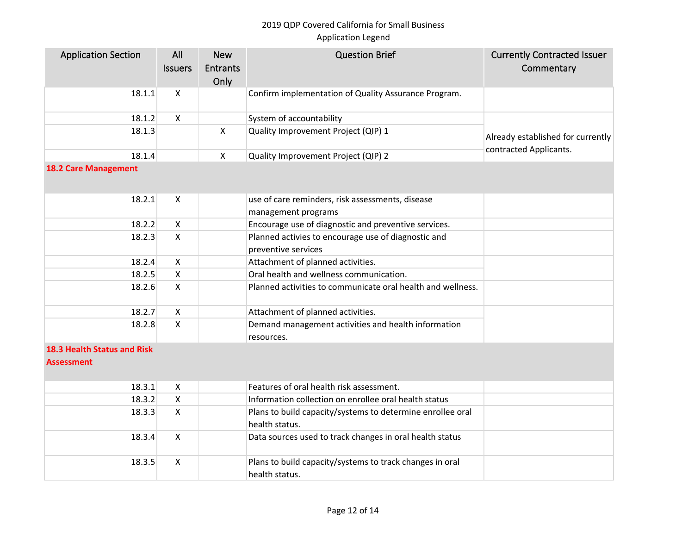| <b>Application Section</b>  | All                       | <b>New</b>   | <b>Question Brief</b>                                       | <b>Currently Contracted Issuer</b> |
|-----------------------------|---------------------------|--------------|-------------------------------------------------------------|------------------------------------|
|                             | <b>Issuers</b>            | Entrants     |                                                             | Commentary                         |
|                             |                           | Only         |                                                             |                                    |
| 18.1.1                      | $\mathsf{X}$              |              | Confirm implementation of Quality Assurance Program.        |                                    |
| 18.1.2                      | $\mathsf{X}$              |              | System of accountability                                    |                                    |
| 18.1.3                      |                           | $\mathsf{X}$ | Quality Improvement Project (QIP) 1                         |                                    |
|                             |                           |              |                                                             | Already established for currently  |
| 18.1.4                      |                           | $\mathsf{X}$ | Quality Improvement Project (QIP) 2                         | contracted Applicants.             |
| <b>18.2 Care Management</b> |                           |              |                                                             |                                    |
|                             |                           |              |                                                             |                                    |
| 18.2.1                      | $\boldsymbol{\mathsf{X}}$ |              | use of care reminders, risk assessments, disease            |                                    |
|                             |                           |              | management programs                                         |                                    |
| 18.2.2                      | $\mathsf{X}$              |              | Encourage use of diagnostic and preventive services.        |                                    |
| 18.2.3                      | $\mathsf{X}$              |              | Planned activies to encourage use of diagnostic and         |                                    |
|                             |                           |              | preventive services                                         |                                    |
| 18.2.4                      | $\mathsf{X}$              |              | Attachment of planned activities.                           |                                    |
| 18.2.5                      | $\mathsf{X}$              |              | Oral health and wellness communication.                     |                                    |
| 18.2.6                      | $\mathsf{X}$              |              | Planned activities to communicate oral health and wellness. |                                    |
|                             |                           |              |                                                             |                                    |
| 18.2.7                      | $\boldsymbol{\mathsf{X}}$ |              | Attachment of planned activities.                           |                                    |
| 18.2.8                      | $\boldsymbol{\mathsf{X}}$ |              | Demand management activities and health information         |                                    |
|                             |                           |              | resources.                                                  |                                    |
| 18.3 Health Status and Risk |                           |              |                                                             |                                    |
| <b>Assessment</b>           |                           |              |                                                             |                                    |
|                             |                           |              |                                                             |                                    |
| 18.3.1                      | $\mathsf{x}$              |              | Features of oral health risk assessment.                    |                                    |
| 18.3.2                      | $\pmb{\times}$            |              | Information collection on enrollee oral health status       |                                    |
| 18.3.3                      | $\mathsf{X}$              |              | Plans to build capacity/systems to determine enrollee oral  |                                    |
|                             |                           |              | health status.                                              |                                    |
| 18.3.4                      | $\mathsf{X}$              |              | Data sources used to track changes in oral health status    |                                    |
| 18.3.5                      | $\mathsf{X}$              |              | Plans to build capacity/systems to track changes in oral    |                                    |
|                             |                           |              | health status.                                              |                                    |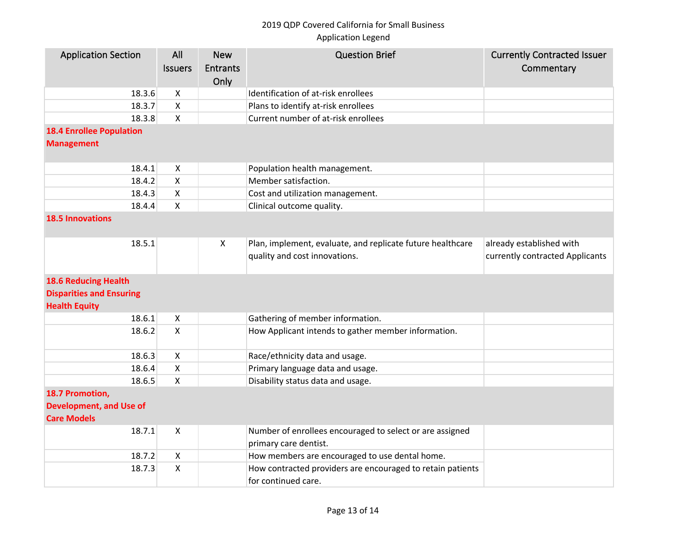| <b>Application Section</b>      | All            | <b>New</b>      | <b>Question Brief</b>                                      | <b>Currently Contracted Issuer</b> |  |  |  |  |
|---------------------------------|----------------|-----------------|------------------------------------------------------------|------------------------------------|--|--|--|--|
|                                 | <b>Issuers</b> | <b>Entrants</b> |                                                            | Commentary                         |  |  |  |  |
|                                 |                | Only            |                                                            |                                    |  |  |  |  |
| 18.3.6                          | X              |                 | Identification of at-risk enrollees                        |                                    |  |  |  |  |
| 18.3.7                          | X              |                 | Plans to identify at-risk enrollees                        |                                    |  |  |  |  |
| 18.3.8                          | X.             |                 | Current number of at-risk enrollees                        |                                    |  |  |  |  |
| <b>18.4 Enrollee Population</b> |                |                 |                                                            |                                    |  |  |  |  |
| <b>Management</b>               |                |                 |                                                            |                                    |  |  |  |  |
|                                 |                |                 |                                                            |                                    |  |  |  |  |
| 18.4.1                          | X              |                 | Population health management.                              |                                    |  |  |  |  |
| 18.4.2                          | X              |                 | Member satisfaction.                                       |                                    |  |  |  |  |
| 18.4.3                          | $\mathsf{X}$   |                 | Cost and utilization management.                           |                                    |  |  |  |  |
| 18.4.4                          | X              |                 | Clinical outcome quality.                                  |                                    |  |  |  |  |
| <b>18.5 Innovations</b>         |                |                 |                                                            |                                    |  |  |  |  |
|                                 |                |                 |                                                            |                                    |  |  |  |  |
| 18.5.1                          |                | X               | Plan, implement, evaluate, and replicate future healthcare | already established with           |  |  |  |  |
|                                 |                |                 | quality and cost innovations.                              | currently contracted Applicants    |  |  |  |  |
|                                 |                |                 |                                                            |                                    |  |  |  |  |
| <b>18.6 Reducing Health</b>     |                |                 |                                                            |                                    |  |  |  |  |
| <b>Disparities and Ensuring</b> |                |                 |                                                            |                                    |  |  |  |  |
| <b>Health Equity</b>            |                |                 |                                                            |                                    |  |  |  |  |
| 18.6.1                          | X              |                 | Gathering of member information.                           |                                    |  |  |  |  |
| 18.6.2                          | $\mathsf{X}$   |                 | How Applicant intends to gather member information.        |                                    |  |  |  |  |
|                                 |                |                 |                                                            |                                    |  |  |  |  |
| 18.6.3                          | X              |                 | Race/ethnicity data and usage.                             |                                    |  |  |  |  |
| 18.6.4                          | $\mathsf{x}$   |                 | Primary language data and usage.                           |                                    |  |  |  |  |
| 18.6.5                          | X              |                 | Disability status data and usage.                          |                                    |  |  |  |  |
| 18.7 Promotion,                 |                |                 |                                                            |                                    |  |  |  |  |
| <b>Development, and Use of</b>  |                |                 |                                                            |                                    |  |  |  |  |
| <b>Care Models</b>              |                |                 |                                                            |                                    |  |  |  |  |
| 18.7.1                          | X              |                 | Number of enrollees encouraged to select or are assigned   |                                    |  |  |  |  |
|                                 |                |                 | primary care dentist.                                      |                                    |  |  |  |  |
| 18.7.2                          | X              |                 | How members are encouraged to use dental home.             |                                    |  |  |  |  |
| 18.7.3                          | X              |                 | How contracted providers are encouraged to retain patients |                                    |  |  |  |  |
|                                 |                |                 | for continued care.                                        |                                    |  |  |  |  |